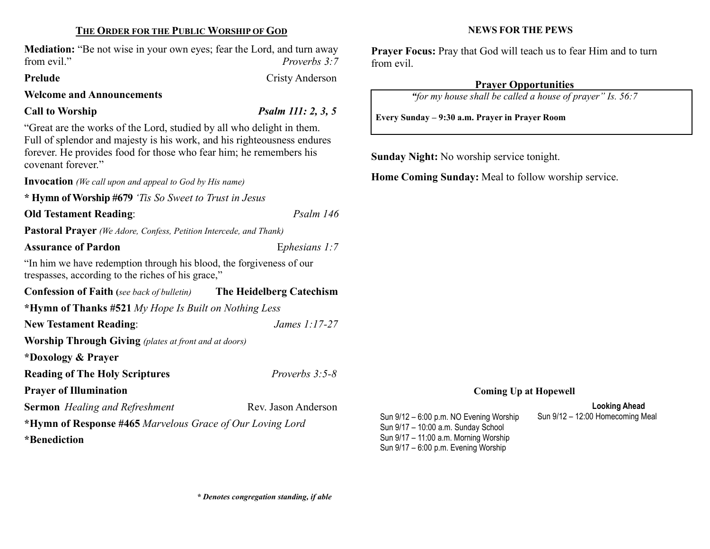### THE ORDER FOR THE PUBLIC WORSHIP OF GOD

Mediation: "Be not wise in your own eyes; fear the Lord, and turn away from evil." Proverbs 3:7

#### Prelude Cristy Anderson

Welcome and Announcements

### Call to Worship  $P_{\text{Salm}}$  111: 2, 3, 5

"Great are the works of the Lord, studied by all who delight in them. Full of splendor and majesty is his work, and his righteousness endures forever. He provides food for those who fear him; he remembers his covenant forever." Invocation (We call upon and appeal to God by His name) \* Hymn of Worship #679 'Tis So Sweet to Trust in Jesus Old Testament Reading: Psalm 146 Pastoral Prayer (We Adore, Confess, Petition Intercede, and Thank) Assurance of Pardon **Exercise 2.1 Exercise 2.1** Explosions 1:7

"In him we have redemption through his blood, the forgiveness of our trespasses, according to the riches of his grace,"

Confession of Faith (see back of bulletin) The Heidelberg Catechism \*Hymn of Thanks #521 My Hope Is Built on Nothing Less New Testament Reading: James 1:17-27 Worship Through Giving (plates at front and at doors) \*Doxology & Prayer Reading of The Holy Scriptures *Proverbs 3:5-8* Prayer of Illumination Sermon Healing and Refreshment Rev. Jason Anderson \*Hymn of Response #465 Marvelous Grace of Our Loving Lord \*Benediction

#### NEWS FOR THE PEWS

Prayer Focus: Pray that God will teach us to fear Him and to turn from evil.

# Prayer Opportunities

"for my house shall be called a house of prayer" Is. 56:7

Every Sunday – 9:30 a.m. Prayer in Prayer Room

Sunday Night: No worship service tonight.

Home Coming Sunday: Meal to follow worship service.

# Coming Up at Hopewell

# Looking Ahead

Sun 9/12 – 6:00 p.m. NO Evening Worship Sun 9/12 – 12:00 Homecoming Meal Sun 9/17 – 10:00 a.m. Sunday School Sun 9/17 – 11:00 a.m. Morning Worship Sun 9/17 – 6:00 p.m. Evening Worship